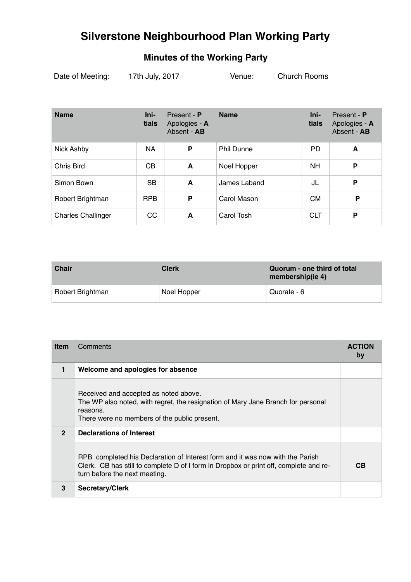## **Minutes of the Working Party**

| Date of Meeting: | 17th July, 2017 | Venue: | Church Rooms |  |
|------------------|-----------------|--------|--------------|--|
|                  |                 |        |              |  |

| <b>Name</b>               | Ini-<br>tials  | Present - P<br>Apologies - A<br>Absent - AB | <b>Name</b>       | Ini-<br>tials | Present - P<br>Apologies - A<br>Absent - AB |
|---------------------------|----------------|---------------------------------------------|-------------------|---------------|---------------------------------------------|
| Nick Ashby                | NA             | P                                           | <b>Phil Dunne</b> | PD            | A                                           |
| Chris Bird                | C <sub>B</sub> | A                                           | Noel Hopper       | <b>NH</b>     | P                                           |
| Simon Bown                | <b>SB</b>      | A                                           | James Laband      | JL            | P                                           |
| Robert Brightman          | <b>RPB</b>     | P                                           | Carol Mason       | <b>CM</b>     | P                                           |
| <b>Charles Challinger</b> | <sub>CC</sub>  | A                                           | Carol Tosh        | <b>CLT</b>    | P                                           |

| <b>Chair</b>     | <b>Clerk</b> | Quorum - one third of total<br>membership(ie 4) |
|------------------|--------------|-------------------------------------------------|
| Robert Brightman | Noel Hopper  | Quorate - 6                                     |

| <b>Item</b>  | Comments                                                                                                                                                                                                | <b>ACTION</b><br>by |
|--------------|---------------------------------------------------------------------------------------------------------------------------------------------------------------------------------------------------------|---------------------|
| 1            | Welcome and apologies for absence                                                                                                                                                                       |                     |
|              | Received and accepted as noted above.<br>The WP also noted, with regret, the resignation of Mary Jane Branch for personal<br>reasons.<br>There were no members of the public present.                   |                     |
| $\mathbf{2}$ | Declarations of Interest                                                                                                                                                                                |                     |
|              | RPB completed his Declaration of Interest form and it was now with the Parish<br>Clerk. CB has still to complete D of I form in Dropbox or print off, complete and re-<br>turn before the next meeting. | CВ                  |
| 3            | <b>Secretary/Clerk</b>                                                                                                                                                                                  |                     |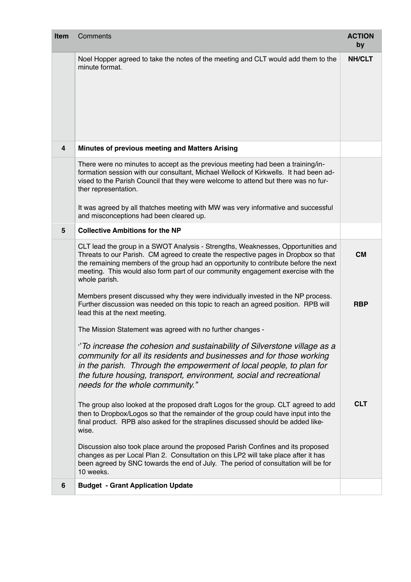| Item | Comments                                                                                                                                                                                                                                                                                                                                                                   | <b>ACTION</b><br>by |
|------|----------------------------------------------------------------------------------------------------------------------------------------------------------------------------------------------------------------------------------------------------------------------------------------------------------------------------------------------------------------------------|---------------------|
|      | Noel Hopper agreed to take the notes of the meeting and CLT would add them to the<br>minute format.                                                                                                                                                                                                                                                                        | <b>NH/CLT</b>       |
| 4    | Minutes of previous meeting and Matters Arising                                                                                                                                                                                                                                                                                                                            |                     |
|      | There were no minutes to accept as the previous meeting had been a training/in-<br>formation session with our consultant, Michael Wellock of Kirkwells. It had been ad-<br>vised to the Parish Council that they were welcome to attend but there was no fur-<br>ther representation.<br>It was agreed by all thatches meeting with MW was very informative and successful |                     |
|      | and misconceptions had been cleared up.                                                                                                                                                                                                                                                                                                                                    |                     |
| 5    | <b>Collective Ambitions for the NP</b>                                                                                                                                                                                                                                                                                                                                     |                     |
|      | CLT lead the group in a SWOT Analysis - Strengths, Weaknesses, Opportunities and<br>Threats to our Parish. CM agreed to create the respective pages in Dropbox so that<br>the remaining members of the group had an opportunity to contribute before the next<br>meeting. This would also form part of our community engagement exercise with the<br>whole parish.         | <b>CM</b>           |
|      | Members present discussed why they were individually invested in the NP process.<br>Further discussion was needed on this topic to reach an agreed position. RPB will<br>lead this at the next meeting.                                                                                                                                                                    | <b>RBP</b>          |
|      | The Mission Statement was agreed with no further changes -                                                                                                                                                                                                                                                                                                                 |                     |
|      | "To increase the cohesion and sustainability of Silverstone village as a<br>community for all its residents and businesses and for those working<br>in the parish. Through the empowerment of local people, to plan for<br>the future housing, transport, environment, social and recreational<br>needs for the whole community."                                          |                     |
|      | The group also looked at the proposed draft Logos for the group. CLT agreed to add<br>then to Dropbox/Logos so that the remainder of the group could have input into the<br>final product. RPB also asked for the straplines discussed should be added like-<br>wise.                                                                                                      | <b>CLT</b>          |
|      | Discussion also took place around the proposed Parish Confines and its proposed<br>changes as per Local Plan 2. Consultation on this LP2 will take place after it has<br>been agreed by SNC towards the end of July. The period of consultation will be for<br>10 weeks.                                                                                                   |                     |
| 6    | <b>Budget - Grant Application Update</b>                                                                                                                                                                                                                                                                                                                                   |                     |